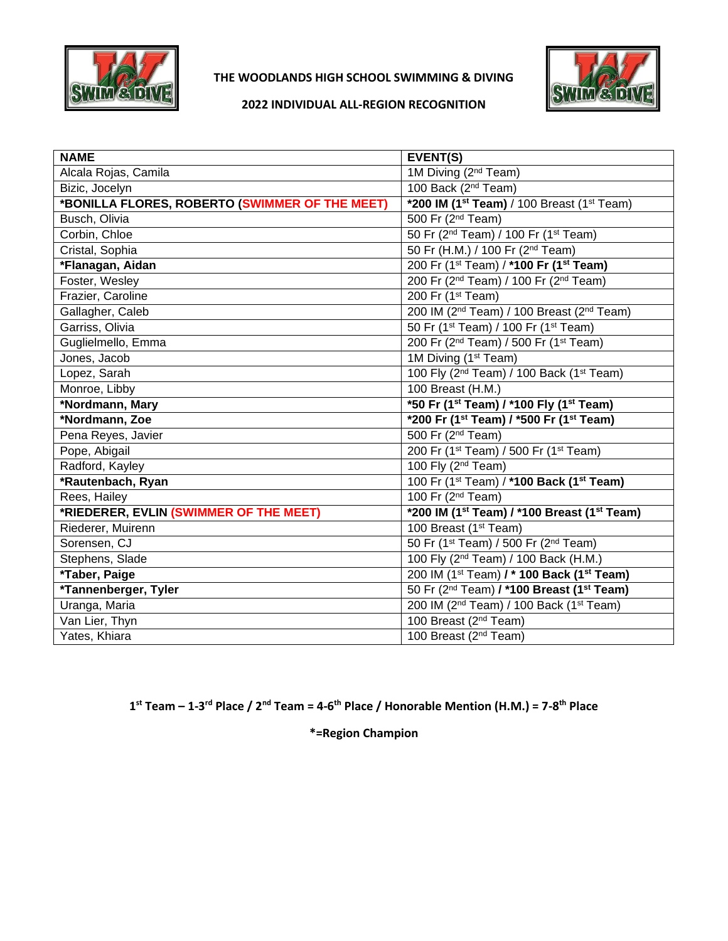

### **THE WOODLANDS HIGH SCHOOL SWIMMING & DIVING**



#### **2022 INDIVIDUAL ALL-REGION RECOGNITION**

| <b>NAME</b>                                    | EVENT(S)                                                                |
|------------------------------------------------|-------------------------------------------------------------------------|
| Alcala Rojas, Camila                           | 1M Diving (2 <sup>nd</sup> Team)                                        |
| Bizic, Jocelyn                                 | 100 Back (2 <sup>nd</sup> Team)                                         |
| *BONILLA FLORES, ROBERTO (SWIMMER OF THE MEET) | *200 IM ( $1st$ Team) / 100 Breast ( $1st$ Team)                        |
| Busch, Olivia                                  | $\overline{500}$ Fr (2 <sup>nd</sup> Team)                              |
| Corbin, Chloe                                  | 50 Fr (2 <sup>nd</sup> Team) / 100 Fr (1 <sup>st</sup> Team)            |
| Cristal, Sophia                                | 50 Fr (H.M.) / 100 Fr (2 <sup>nd</sup> Team)                            |
|                                                |                                                                         |
| *Flanagan, Aidan                               | 200 Fr (1 <sup>st</sup> Team) / *100 Fr (1 <sup>st</sup> Team)          |
| Foster, Wesley                                 | 200 Fr (2 <sup>nd</sup> Team) / 100 Fr (2 <sup>nd</sup> Team)           |
| Frazier, Caroline                              | 200 Fr (1 <sup>st</sup> Team)                                           |
| Gallagher, Caleb                               | 200 IM (2 <sup>nd</sup> Team) / 100 Breast (2 <sup>nd</sup> Team)       |
| Garriss, Olivia                                | 50 Fr (1 <sup>st</sup> Team) / 100 Fr (1 <sup>st</sup> Team)            |
| Guglielmello, Emma                             | 200 Fr (2 <sup>nd</sup> Team) / 500 Fr (1 <sup>st</sup> Team)           |
| Jones, Jacob                                   | 1M Diving (1 <sup>st</sup> Team)                                        |
| Lopez, Sarah                                   | 100 Fly (2 <sup>nd</sup> Team) / 100 Back (1 <sup>st</sup> Team)        |
| Monroe, Libby                                  | 100 Breast (H.M.)                                                       |
|                                                |                                                                         |
| *Nordmann, Mary                                | *50 Fr (1 <sup>st</sup> Team) / *100 Fly (1 <sup>st</sup> Team)         |
| *Nordmann, Zoe                                 | *200 Fr (1 <sup>st</sup> Team) / *500 Fr (1 <sup>st</sup> Team)         |
| Pena Reyes, Javier                             | 500 Fr (2 <sup>nd</sup> Team)                                           |
| Pope, Abigail                                  | 200 Fr (1 <sup>st</sup> Team) / 500 Fr (1 <sup>st</sup> Team)           |
| Radford, Kayley                                | 100 Fly (2 <sup>nd</sup> Team)                                          |
| *Rautenbach, Ryan                              | 100 Fr (1 <sup>st</sup> Team) / * <b>100 Back (1<sup>st</sup> Team)</b> |
| Rees, Hailey                                   | 100 Fr (2 <sup>nd</sup> Team)                                           |
| *RIEDERER, EVLIN (SWIMMER OF THE MEET)         | *200 IM (1 <sup>st</sup> Team) / *100 Breast (1 <sup>st</sup> Team)     |
| Riederer, Muirenn                              | 100 Breast (1 <sup>st</sup> Team)                                       |
| Sorensen, CJ                                   | 50 Fr (1 <sup>st</sup> Team) / 500 Fr (2 <sup>nd</sup> Team)            |
| Stephens, Slade                                | 100 Fly (2 <sup>nd</sup> Team) / 100 Back (H.M.)                        |
| *Taber, Paige                                  | 200 IM (1 <sup>st</sup> Team) / * 100 Back (1 <sup>st</sup> Team)       |
| *Tannenberger, Tyler                           | 50 Fr (2 <sup>nd</sup> Team) / * <b>100 Breast (1st Team)</b>           |
| Uranga, Maria                                  | 200 IM (2 <sup>nd</sup> Team) / 100 Back (1 <sup>st</sup> Team)         |
| Van Lier, Thyn                                 | 100 Breast (2 <sup>nd</sup> Team)                                       |
| Yates, Khiara                                  | 100 Breast (2 <sup>nd</sup> Team)                                       |

**1 st Team – 1-3 rd Place / 2nd Team = 4-6 th Place / Honorable Mention (H.M.) = 7-8 th Place**

**\*=Region Champion**